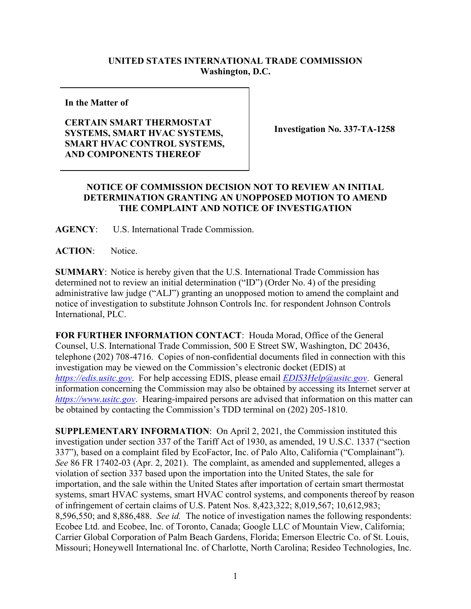## **UNITED STATES INTERNATIONAL TRADE COMMISSION Washington, D.C.**

**In the Matter of**

## **CERTAIN SMART THERMOSTAT SYSTEMS, SMART HVAC SYSTEMS, SMART HVAC CONTROL SYSTEMS, AND COMPONENTS THEREOF**

**Investigation No. 337-TA-1258**

## **NOTICE OF COMMISSION DECISION NOT TO REVIEW AN INITIAL DETERMINATION GRANTING AN UNOPPOSED MOTION TO AMEND THE COMPLAINT AND NOTICE OF INVESTIGATION**

**AGENCY**: U.S. International Trade Commission.

**ACTION**: Notice.

**SUMMARY**: Notice is hereby given that the U.S. International Trade Commission has determined not to review an initial determination ("ID") (Order No. 4) of the presiding administrative law judge ("ALJ") granting an unopposed motion to amend the complaint and notice of investigation to substitute Johnson Controls Inc. for respondent Johnson Controls International, PLC.

**FOR FURTHER INFORMATION CONTACT**: Houda Morad, Office of the General Counsel, U.S. International Trade Commission, 500 E Street SW, Washington, DC 20436, telephone (202) 708-4716. Copies of non-confidential documents filed in connection with this investigation may be viewed on the Commission's electronic docket (EDIS) at *[https://edis.usitc.gov](https://edis.usitc.gov/)*. For help accessing EDIS, please email *[EDIS3Help@usitc.gov](mailto:EDIS3Help@usitc.gov)*. General information concerning the Commission may also be obtained by accessing its Internet server at *[https://www.usitc.gov](https://www.usitc.gov/)*. Hearing-impaired persons are advised that information on this matter can be obtained by contacting the Commission's TDD terminal on (202) 205-1810.

**SUPPLEMENTARY INFORMATION**: On April 2, 2021, the Commission instituted this investigation under section 337 of the Tariff Act of 1930, as amended, 19 U.S.C. 1337 ("section 337"), based on a complaint filed by EcoFactor, Inc. of Palo Alto, California ("Complainant"). *See* 86 FR 17402-03 (Apr. 2, 2021). The complaint, as amended and supplemented, alleges a violation of section 337 based upon the importation into the United States, the sale for importation, and the sale within the United States after importation of certain smart thermostat systems, smart HVAC systems, smart HVAC control systems, and components thereof by reason of infringement of certain claims of U.S. Patent Nos. 8,423,322; 8,019,567; 10,612,983; 8,596,550; and 8,886,488. *See id.* The notice of investigation names the following respondents: Ecobee Ltd. and Ecobee, Inc. of Toronto, Canada; Google LLC of Mountain View, California; Carrier Global Corporation of Palm Beach Gardens, Florida; Emerson Electric Co. of St. Louis, Missouri; Honeywell International Inc. of Charlotte, North Carolina; Resideo Technologies, Inc.